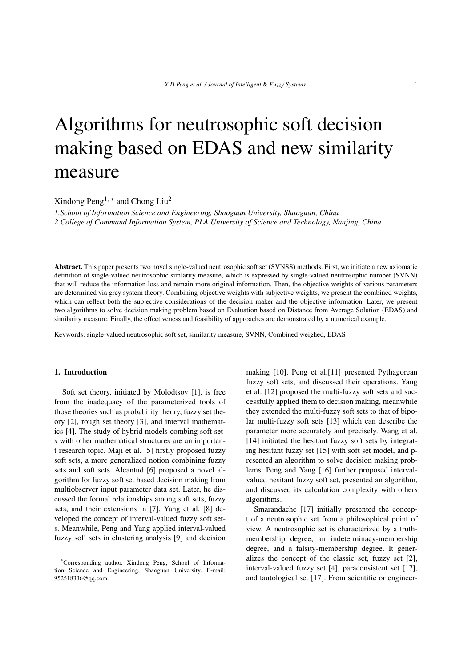# Algorithms for neutrosophic soft decision making based on EDAS and new similarity measure

Xindong Peng1*, <sup>∗</sup>* and Chong Liu<sup>2</sup>

*1.School of Information Science and Engineering, Shaoguan University, Shaoguan, China 2.College of Command Information System, PLA University of Science and Technology, Nanjing, China*

Abstract. This paper presents two novel single-valued neutrosophic soft set (SVNSS) methods. First, we initiate a new axiomatic definition of single-valued neutrosophic simlarity measure, which is expressed by single-valued neutrosophic number (SVNN) that will reduce the information loss and remain more original information. Then, the objective weights of various parameters are determined via grey system theory. Combining objective weights with subjective weights, we present the combined weights, which can reflect both the subjective considerations of the decision maker and the objective information. Later, we present two algorithms to solve decision making problem based on Evaluation based on Distance from Average Solution (EDAS) and similarity measure. Finally, the effectiveness and feasibility of approaches are demonstrated by a numerical example.

Keywords: single-valued neutrosophic soft set, similarity measure, SVNN, Combined weighed, EDAS

#### 1. Introduction

Soft set theory, initiated by Molodtsov [1], is free from the inadequacy of the parameterized tools of those theories such as probability theory, fuzzy set theory [2], rough set theory [3], and interval mathematics [4]. The study of hybrid models combing soft sets with other mathematical structures are an important research topic. Maji et al. [5] firstly proposed fuzzy soft sets, a more generalized notion combining fuzzy sets and soft sets. Alcantud [6] proposed a novel algorithm for fuzzy soft set based decision making from multiobserver input parameter data set. Later, he discussed the formal relationships among soft sets, fuzzy sets, and their extensions in [7]. Yang et al. [8] developed the concept of interval-valued fuzzy soft sets. Meanwhile, Peng and Yang applied interval-valued fuzzy soft sets in clustering analysis [9] and decision making [10]. Peng et al.[11] presented Pythagorean fuzzy soft sets, and discussed their operations. Yang et al. [12] proposed the multi-fuzzy soft sets and successfully applied them to decision making, meanwhile they extended the multi-fuzzy soft sets to that of bipolar multi-fuzzy soft sets [13] which can describe the parameter more accurately and precisely. Wang et al. [14] initiated the hesitant fuzzy soft sets by integrating hesitant fuzzy set [15] with soft set model, and presented an algorithm to solve decision making problems. Peng and Yang [16] further proposed intervalvalued hesitant fuzzy soft set, presented an algorithm, and discussed its calculation complexity with others algorithms.

Smarandache [17] initially presented the concept of a neutrosophic set from a philosophical point of view. A neutrosophic set is characterized by a truthmembership degree, an indeterminacy-membership degree, and a falsity-membership degree. It generalizes the concept of the classic set, fuzzy set [2], interval-valued fuzzy set [4], paraconsistent set [17], and tautological set [17]. From scientific or engineer-

<sup>\*</sup>Corresponding author. Xindong Peng, School of Information Science and Engineering, Shaoguan University. E-mail: 952518336@qq.com.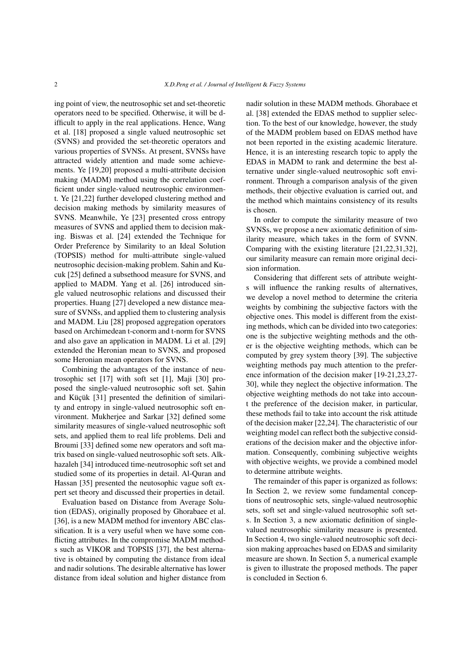ing point of view, the neutrosophic set and set-theoretic operators need to be specified. Otherwise, it will be difficult to apply in the real applications. Hence, Wang et al. [18] proposed a single valued neutrosophic set (SVNS) and provided the set-theoretic operators and various properties of SVNSs. At present, SVNSs have attracted widely attention and made some achievements. Ye [19,20] proposed a multi-attribute decision making (MADM) method using the correlation coefficient under single-valued neutrosophic environment. Ye [21,22] further developed clustering method and decision making methods by similarity measures of SVNS. Meanwhile, Ye [23] presented cross entropy measures of SVNS and applied them to decision making. Biswas et al. [24] extended the Technique for Order Preference by Similarity to an Ideal Solution (TOPSIS) method for multi-attribute single-valued neutrosophic decision-making problem. Sahin and Kucuk [25] defined a subsethood measure for SVNS, and applied to MADM. Yang et al. [26] introduced single valued neutrosophic relations and discussed their properties. Huang [27] developed a new distance measure of SVNSs, and applied them to clustering analysis and MADM. Liu [28] proposed aggregation operators based on Archimedean t-conorm and t-norm for SVNS and also gave an application in MADM. Li et al. [29] extended the Heronian mean to SVNS, and proposed some Heronian mean operators for SVNS.

Combining the advantages of the instance of neutrosophic set [17] with soft set [1], Maji [30] proposed the single-valued neutrosophic soft set. Şahin and Küçük [31] presented the definition of similarity and entropy in single-valued neutrosophic soft environment. Mukherjee and Sarkar [32] defined some similarity measures of single-valued neutrosophic soft sets, and applied them to real life problems. Deli and Broumi [33] defined some new operators and soft matrix based on single-valued neutrosophic soft sets. Alkhazaleh [34] introduced time-neutrosophic soft set and studied some of its properties in detail. Al-Quran and Hassan [35] presented the neutosophic vague soft expert set theory and discussed their properties in detail.

Evaluation based on Distance from Average Solution (EDAS), originally proposed by Ghorabaee et al. [36], is a new MADM method for inventory ABC classification. It is a very useful when we have some conflicting attributes. In the compromise MADM methods such as VIKOR and TOPSIS [37], the best alternative is obtained by computing the distance from ideal and nadir solutions. The desirable alternative has lower distance from ideal solution and higher distance from nadir solution in these MADM methods. Ghorabaee et al. [38] extended the EDAS method to supplier selection. To the best of our knowledge, however, the study of the MADM problem based on EDAS method have not been reported in the existing academic literature. Hence, it is an interesting research topic to apply the EDAS in MADM to rank and determine the best alternative under single-valued neutrosophic soft environment. Through a comparison analysis of the given methods, their objective evaluation is carried out, and the method which maintains consistency of its results is chosen.

In order to compute the similarity measure of two SVNSs, we propose a new axiomatic definition of similarity measure, which takes in the form of SVNN. Comparing with the existing literature [21,22,31,32], our similarity measure can remain more original decision information.

Considering that different sets of attribute weights will influence the ranking results of alternatives, we develop a novel method to determine the criteria weights by combining the subjective factors with the objective ones. This model is different from the existing methods, which can be divided into two categories: one is the subjective weighting methods and the other is the objective weighting methods, which can be computed by grey system theory [39]. The subjective weighting methods pay much attention to the preference information of the decision maker [19-21,23,27- 30], while they neglect the objective information. The objective weighting methods do not take into account the preference of the decision maker, in particular, these methods fail to take into account the risk attitude of the decision maker [22,24]. The characteristic of our weighting model can reflect both the subjective considerations of the decision maker and the objective information. Consequently, combining subjective weights with objective weights, we provide a combined model to determine attribute weights.

The remainder of this paper is organized as follows: In Section 2, we review some fundamental conceptions of neutrosophic sets, single-valued neutrosophic sets, soft set and single-valued neutrosophic soft sets. In Section 3, a new axiomatic definition of singlevalued neutrosophic similarity measure is presented. In Section 4, two single-valued neutrosophic soft decision making approaches based on EDAS and similarity measure are shown. In Section 5, a numerical example is given to illustrate the proposed methods. The paper is concluded in Section 6.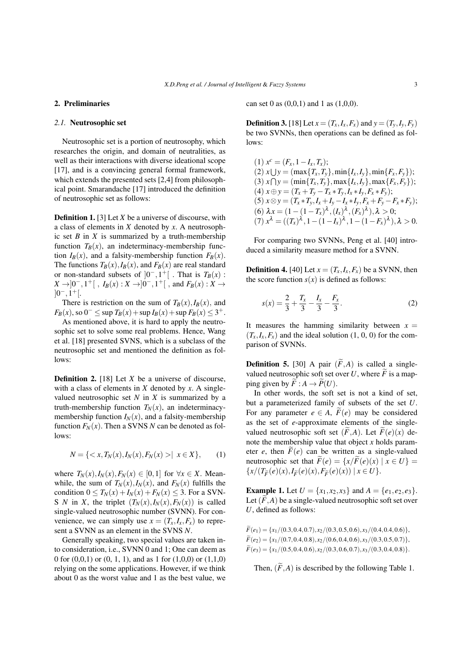#### 2. Preliminaries

#### *2.1.* Neutrosophic set

Neutrosophic set is a portion of neutrosophy, which researches the origin, and domain of neutralities, as well as their interactions with diverse ideational scope [17], and is a convincing general formal framework, which extends the presented sets [2,4] from philosophical point. Smarandache [17] introduced the definition of neutrosophic set as follows:

Definition 1. [3] Let *X* be a universe of discourse, with a class of elements in *X* denoted by *x*. A neutrosophic set  $B$  in  $X$  is summarized by a truth-membership function  $T_B(x)$ , an indeterminacy-membership function  $I_B(x)$ , and a falsity-membership function  $F_B(x)$ . The functions  $T_B(x)$ ,  $I_B(x)$ , and  $F_B(x)$  are real standard or non-standard subsets of  $]0^-, 1^+[$ . That is  $T_B(x)$ : *X* → ]0<sup>−</sup>, 1<sup>+</sup>[, *I<sub>B</sub>*(*x*) : *X* → ]0<sup>−</sup>, 1<sup>+</sup>[, and *F<sub>B</sub>*(*x*) : *X* → ]0 *<sup>−</sup>,*1 +[.

There is restriction on the sum of  $T_B(x)$ ,  $I_B(x)$ , and *FB*(*x*), so 0<sup>−</sup> ≤ sup *TB*(*x*) + sup *IB*(*x*) + sup *FB*(*x*) ≤ 3<sup>+</sup>.

As mentioned above, it is hard to apply the neutrosophic set to solve some real problems. Hence, Wang et al. [18] presented SVNS, which is a subclass of the neutrosophic set and mentioned the definition as follows:

Definition 2. [18] Let *X* be a universe of discourse, with a class of elements in *X* denoted by *x*. A singlevalued neutrosophic set  $N$  in  $X$  is summarized by a truth-membership function  $T_N(x)$ , an indeterminacymembership function  $I_N(x)$ , and a falsity-membership function  $F_N(x)$ . Then a SVNS *N* can be denoted as follows:

$$
N = \{ \langle x, T_N(x), I_N(x), F_N(x) \rangle \mid x \in X \}, \qquad (1)
$$

where  $T_N(x)$ ,  $I_N(x)$ ,  $F_N(x) \in [0,1]$  for  $\forall x \in X$ . Meanwhile, the sum of  $T_N(x)$ ,  $I_N(x)$ , and  $F_N(x)$  fulfills the condition  $0 \leq T_N(x) + I_N(x) + F_N(x) \leq 3$ . For a SVN-S *N* in *X*, the triplet  $(T_N(x), I_N(x), F_N(x))$  is called single-valued neutrosophic number (SVNN). For convenience, we can simply use  $x = (T_x, I_x, F_x)$  to represent a SVNN as an element in the SVNS *N*.

Generally speaking, two special values are taken into consideration, i.e., SVNN 0 and 1; One can deem as 0 for  $(0,0,1)$  or  $(0, 1, 1)$ , and as 1 for  $(1,0,0)$  or  $(1,1,0)$ relying on the some applications. However, if we think about 0 as the worst value and 1 as the best value, we can set 0 as  $(0,0,1)$  and 1 as  $(1,0,0)$ .

**Definition 3.** [18] Let  $x = (T_x, I_x, F_x)$  and  $y = (T_v, I_v, F_v)$ be two SVNNs, then operations can be defined as follows:

 $(1)$   $x^c = (F_x, 1 - I_x, T_x);$  $(2)$   $x \cup y = (\max\{T_x, T_y\}, \min\{I_x, I_y\}, \min\{F_x, F_y\});$  $(3)$   $x \cap y = (\min\{T_x, T_y\}, \max\{I_x, I_y\}, \max\{F_x, F_y\})$ ;  $(4)$   $x \oplus y = (T_x + T_y - T_x * T_y, I_x * I_y, F_x * F_y);$ (5)  $x \otimes y = (T_x * T_y, I_x + I_y - I_x * I_y, F_x + F_y - F_x * F_y);$  $(6) \lambda x = (1 - (1 - T_x)^{\lambda}, (I_x)^{\lambda}, (F_x)^{\lambda}), \lambda > 0;$  $(7)$   $x^{\lambda} = ((T_x)^{\lambda}, 1 - (1 - I_x)^{\lambda}, 1 - (1 - F_x)^{\lambda}), \lambda > 0.$ 

For comparing two SVNNs, Peng et al. [40] introduced a similarity measure method for a SVNN.

**Definition 4.** [40] Let  $x = (T_x, I_x, F_x)$  be a SVNN, then the score function  $s(x)$  is defined as follows:

$$
s(x) = \frac{2}{3} + \frac{T_x}{3} - \frac{I_x}{3} - \frac{F_x}{3}.
$$
 (2)

It measures the hamming similarity between  $x =$  $(T_x, I_x, F_x)$  and the ideal solution  $(1, 0, 0)$  for the comparison of SVNNs.

**Definition 5.** [30] A pair  $(\widetilde{F}, A)$  is called a singlevalued neutrosophic soft set over  $U$ , where  $F$  is a mapping given by  $\widetilde{F}: A \to \widetilde{P}(U)$ .

In other words, the soft set is not a kind of set, but a parameterized family of subsets of the set *U*. For any parameter  $e \in A$ ,  $\widetilde{F}(e)$  may be considered as the set of *e*-approximate elements of the singlevalued neutrosophic soft set  $(\widetilde{F}, A)$ . Let  $\widetilde{F}(e)(x)$  denote the membership value that object *x* holds parameter *e*, then  $\tilde{F}(e)$  can be written as a single-valued neutrosophic set that  $\widetilde{F}(e) = \{x/\widetilde{F}(e)(x) \mid x \in U\}$  $\{x/(T_{\tilde{F}}(e)(x), I_{\tilde{F}}(e)(x), F_{\tilde{F}}(e)(x)) | x \in U\}.$ 

**Example 1.** Let  $U = \{x_1, x_2, x_3\}$  and  $A = \{e_1, e_2, e_3\}$ . Let  $(F, A)$  be a single-valued neutrosophic soft set over *U*, defined as follows:

 $\widetilde{F}(e_1) = \{x_1/(0.3, 0.4, 0.7), x_2/(0.3, 0.5, 0.6), x_3/(0.4, 0.4, 0.6)\},$  $\widetilde{F}(e_2) = \{x_1/(0.7, 0.4, 0.8), x_2/(0.6, 0.4, 0.6), x_3/(0.3, 0.5, 0.7)\},\$  $\widetilde{F}(e_3) = \{x_1/(0.5, 0.4, 0.6), x_2/(0.3, 0.6, 0.7), x_3/(0.3, 0.4, 0.8)\}.$ 

Then,  $(\widetilde{F}, A)$  is described by the following Table 1.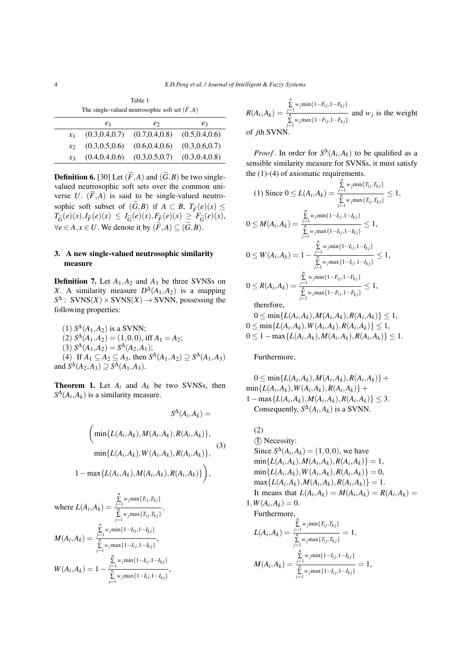Table 1 The single-valued neutrosophic soft set  $(\widetilde{F}, A)$ 

|                 | e <sub>1</sub>  | e               | $e_3$           |
|-----------------|-----------------|-----------------|-----------------|
| $\mathcal{X}_1$ | (0.3, 0.4, 0.7) | (0.7, 0.4, 0.8) | (0.5, 0.4, 0.6) |
| $\mathcal{X}$   | (0.3, 0.5, 0.6) | (0.6, 0.4, 0.6) | (0.3, 0.6, 0.7) |
| $\chi_3$        | (0.4, 0.4, 0.6) | (0.3, 0.5, 0.7) | (0.3, 0.4, 0.8) |

**Definition 6.** [30] Let  $(\widetilde{F}, A)$  and  $(\widetilde{G}, B)$  be two singlevalued neutrosophic soft sets over the common universe *U*.  $(\widetilde{F}, A)$  is said to be single-valued neutrosophic soft subset of  $(\widetilde{G}, B)$  if  $A \subset B$ ,  $T_{\widetilde{F}}(e)(x) \le$  $T_{\widetilde{G}}(e)(x), I_{\widetilde{F}}(e)(x) \leq I_{\widetilde{G}}(e)(x), F_{\widetilde{F}}(e)(x) \geq F_{\widetilde{G}}(e)(x),$ *∀e* ∈ *A*, *x* ∈ *U*. We denote it by  $(\widetilde{F}, A) \subseteq (\widetilde{G}, B)$ .

## 3. A new single-valued neutrosophic similarity measure

**Definition 7.** Let  $A_1$ ,  $A_2$  and  $A_3$  be three SVNSs on *X*. A similarity measure  $D^{\Delta}(A_1, A_2)$  is a mapping  $S^{\Delta}$ : SVNS(*X*) × SVNS(*X*) → SVNN, possessing the following properties:

(1) 
$$
S^{\Delta}(A_1, A_2)
$$
 is a SVM;  
\n(2)  $S^{\Delta}(A_1, A_2) = (1, 0, 0)$ , iff  $A_1 = A_2$ ;  
\n(3)  $S^{\Delta}(A_1, A_2) = S^{\Delta}(A_2, A_1)$ ;  
\n(4) If  $A_1 \subseteq A_2 \subseteq A_3$ , then  $S^{\Delta}(A_1, A_2) \supseteq S^{\Delta}(A_1, A_3)$   
\nand  $S^{\Delta}(A_2, A_3) \supseteq S^{\Delta}(A_1, A_3)$ .

**Theorem 1.** Let  $A_i$  and  $A_k$  be two SVNSs, then  $S^{\Delta}(A_i, A_k)$  is a similarity measure.

$$
S^{\Delta}(A_i, A_k) =
$$
  
\n
$$
\left(\min\{L(A_i, A_k), M(A_i, A_k), R(A_i, A_k)\},\right.\
$$
  
\n
$$
\min\{L(A_i, A_k), W(A_i, A_k), R(A_i, A_k)\},
$$
  
\n
$$
1 - \max\{L(A_i, A_k), M(A_i, A_k), R(A_i, A_k)\}\right),
$$
  
\n(3)

where 
$$
L(A_i, A_k) = \frac{\sum\limits_{j=1}^{n} w_j \min\{T_{ij}, T_{kj}\}}{\sum\limits_{j=1}^{n} w_j \max\{T_{ij}, T_{kj}\}},
$$
  
\n
$$
M(A_i, A_k) = \frac{\sum\limits_{j=1}^{n} w_j \min\{1 - I_{ij, 1} - I_{kj}\}}{\sum\limits_{j=1}^{n} w_j \max\{1 - I_{ij, 1} - I_{kj}\}},
$$
  
\n
$$
W(A_i, A_k) = 1 - \frac{\sum\limits_{j=1}^{n} w_j \min\{1 - I_{ij, 1} - I_{kj}\}}{\sum\limits_{j=1}^{n} w_j \max\{1 - I_{ij, 1} - I_{kj}\}},
$$

$$
R(A_i, A_k) = \frac{\sum_{j=1}^{n} w_j \min\{1 - F_{ij}, 1 - F_{kj}\}}{\sum_{j=1}^{n} w_j \max\{1 - F_{ij}, 1 - F_{kj}\}}
$$
 and  $w_j$  is the weight of *j*th SVM.

*Proof.* In order for  $S^{\Delta}(A_i, A_k)$  to be qualified as a sensible similarity measure for SVNSs, it must satisfy the (1)-(4) of axiomatic requirements.

(1) Since 
$$
0 \le L(A_i, A_k) = \frac{\sum\limits_{j=1}^{n} w_j \min\{T_{ij}, T_{kj}\}}{\sum\limits_{j=1}^{n} w_j \max\{T_{ij}, T_{kj}\}} \le 1,
$$
  
\n $0 \le M(A_i, A_k) = \frac{\sum\limits_{j=1}^{n} w_j \min\{1 - I_{ij}, 1 - I_{kj}\}}{\sum\limits_{j=1}^{n} w_j \max\{1 - I_{ij}, 1 - I_{kj}\}} \le 1,$   
\n $0 \le W(A_i, A_k) = 1 - \frac{\sum\limits_{j=1}^{n} w_j \min\{1 - I_{ij}, 1 - I_{kj}\}}{\sum\limits_{j=1}^{n} w_j \max\{1 - I_{ij}, 1 - I_{kj}\}} \le 1,$   
\n $0 \le R(A_i, A_k) = \frac{\sum\limits_{j=1}^{n} w_j \min\{1 - F_{ij}, 1 - F_{kj}\}}{\sum\limits_{j=1}^{n} w_j \max\{1 - F_{ij}, 1 - F_{kj}\}} \le 1,$   
\ntherefore

therefore,

 $0 \le \min\{L(A_i, A_k), M(A_i, A_k), R(A_i, A_k)\} \le 1$  $0 \le \min\{L(A_i, A_k), W(A_i, A_k), R(A_i, A_k)\} \le 1$  $0 \leq 1 - \max\{L(A_i, A_k), M(A_i, A_k), R(A_i, A_k)\} \leq 1.$ 

Furthermore,

 $0 \le \min\{L(A_i, A_k), M(A_i, A_k), R(A_i, A_k)\}$  $\min\{L(A_i, A_k), W(A_i, A_k), R(A_i, A_k)\}$  $1 - \max\{L(A_i, A_k), M(A_i, A_k), R(A_i, A_k)\}$  ≤ 3. Consequently,  $S^{\Delta}(A_i, A_k)$  is a SVNN.

(2)  
\n(1) Necessity:  
\nSince 
$$
S^{\Delta}(A_i, A_k) = (1, 0, 0)
$$
, we have  
\n
$$
\min\{L(A_i, A_k), M(A_i, A_k), R(A_i, A_k)\} = 1,
$$
\n
$$
\min\{L(A_i, A_k), W(A_i, A_k), R(A_i, A_k)\} = 0,
$$
\n
$$
\max\{L(A_i, A_k), M(A_i, A_k), R(A_i, A_k)\} = 1.
$$
\nIt means that  $L(A_i, A_k) = M(A_i, A_k) = R(A_i, A_k) = 1, W(A_i, A_k) = 0.$   
\nFurthermore,  
\n
$$
L(A_i, A_k) = \frac{\sum_{j=1}^{n} w_j \min\{T_{ij}, T_{kj}\}}{\sum_{j=1}^{n} w_j \max\{T_{ij}, T_{kj}\}} = 1,
$$
\n
$$
M(A_i, A_k) = \frac{\sum_{j=1}^{n} w_j \min\{1 - I_{ij}, 1 - I_{kj}\}}{\sum_{j=1}^{n} w_j \max\{1 - I_{ij}, 1 - I_{kj}\}} = 1,
$$

 $\overline{a}$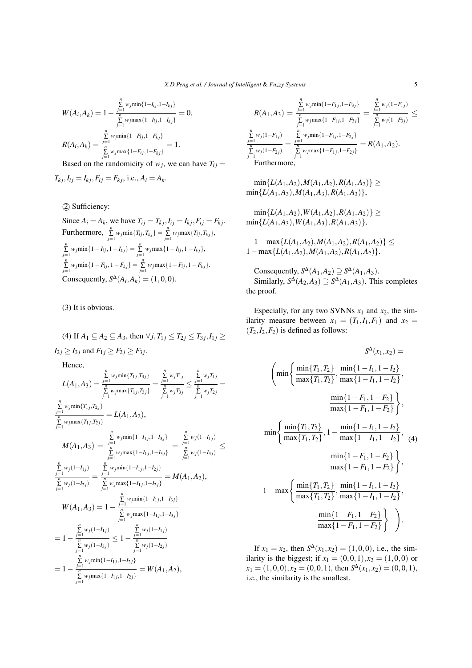$$
W(A_i, A_k) = 1 - \frac{\sum\limits_{j=1}^{n} w_j \min\{1 - I_{ij}, 1 - I_{kj}\}}{\sum\limits_{j=1}^{n} w_j \max\{1 - I_{ij}, 1 - I_{kj}\}} = 0,
$$
  

$$
R(A_i, A_k) = \frac{\sum\limits_{j=1}^{n} w_j \min\{1 - F_{ij}, 1 - F_{kj}\}}{\sum\limits_{i=1}^{n} w_j \max\{1 - F_{ij}, 1 - F_{kj}\}} = 1.
$$

Based on the randomicity of  $w_j$ , we can have  $T_{ij} =$ 

$$
T_{kj}
$$
,  $I_{ij} = I_{kj}$ ,  $F_{ij} = F_{kj}$ , i.e.,  $A_i = A_k$ .

*⃝*2 Sufficiency:

Since 
$$
A_i = A_k
$$
, we have  $T_{ij} = T_{kj}$ ,  $I_{ij} = I_{kj}$ ,  $F_{ij} = F_{kj}$ .  
\nFurthermore,  $\sum_{j=1}^{n} w_j \min\{T_{ij}, T_{kj}\} = \sum_{j=1}^{n} w_j \max\{T_{ij}, T_{kj}\}$ ,  
\n $\sum_{j=1}^{n} w_j \min\{1 - I_{ij}, 1 - I_{kj}\} = \sum_{j=1}^{n} w_j \max\{1 - I_{ij}, 1 - I_{kj}\}$ ,  
\n $\sum_{j=1}^{n} w_j \min\{1 - F_{ij}, 1 - F_{kj}\} = \sum_{j=1}^{n} w_j \max\{1 - F_{ij}, 1 - F_{kj}\}$ .  
\nConsequently,  $S^{\Delta}(A_i, A_k) = (1, 0, 0)$ .

(3) It is obvious.

# (4) If  $A_1 \subseteq A_2 \subseteq A_3$ , then  $\forall j, T_{1j} \le T_{2j} \le T_{3j}, I_{1j} \ge$  $I_{2j} \geq I_{3j}$  and  $F_{1j} \geq F_{2j} \geq F_{3j}$ .

Hence,

$$
L(A_1, A_3) = \frac{\sum_{j=1}^{n} w_j \min\{T_{1j}, T_{3j}\}}{\sum_{j=1}^{n} w_j \max\{T_{1j}, T_{3j}\}} = \frac{\sum_{j=1}^{n} w_j T_{1j}}{\sum_{j=1}^{n} w_j T_{3j}} \le \frac{\sum_{j=1}^{n} w_j T_{1j}}{\sum_{j=1}^{n} w_j T_{2j}} =
$$
\n
$$
\frac{\sum_{j=1}^{n} w_j \min\{T_{1j}, T_{2j}\}}{\sum_{j=1}^{n} w_j \max\{T_{1j}, T_{2j}\}} = L(A_1, A_2),
$$
\n
$$
M(A_1, A_3) = \frac{\sum_{j=1}^{n} w_j \min\{1 - I_{1j}, 1 - I_{3j}\}}{\sum_{j=1}^{n} w_j \max\{1 - I_{1j}, 1 - I_{3j}\}} = \frac{\sum_{j=1}^{n} w_j (1 - I_{1j})}{\sum_{j=1}^{n} w_j (1 - I_{3j})} \le \frac{\sum_{j=1}^{n} w_j (1 - I_{1j})}{\sum_{j=1}^{n} w_j (1 - I_{2j})} = \frac{\sum_{j=1}^{n} w_j \min\{1 - I_{1j}, 1 - I_{2j}\}}{\sum_{j=1}^{n} w_j \max\{1 - I_{1j}, 1 - I_{2j}\}} = M(A_1, A_2),
$$
\n
$$
W(A_1, A_3) = 1 - \frac{\sum_{j=1}^{n} w_j \min\{1 - I_{1j}, 1 - I_{3j}\}}{\sum_{j=1}^{n} w_j \max\{1 - I_{1j}, 1 - I_{3j}\}}
$$
\n
$$
= 1 - \frac{\sum_{j=1}^{n} w_j (1 - I_{1j})}{\sum_{j=1}^{n} w_j (1 - I_{3j})} \le 1 - \frac{\sum_{j=1}^{n} w_j (1 - I_{1j})}{\sum_{j=1}^{n} w_j (1 - I_{2j})}
$$
\n
$$
= 1 - \frac{\sum_{j=1}^{n} w_j \min\{1 - I_{1j}, 1 - I_{2j}\}}{\sum_{j=1}^{n} w_j \max\{1 - I_{1j}, 1 - I_{2j}\}} = W(A_1, A_2),
$$

$$
R(A_1, A_3) = \frac{\sum\limits_{j=1}^{n} w_j \min\{1 - F_{1j}, 1 - F_{3j}\}}{\sum\limits_{j=1}^{n} w_j \max\{1 - F_{1j}, 1 - F_{3j}\}} = \frac{\sum\limits_{j=1}^{n} w_j (1 - F_{1j})}{\sum\limits_{j=1}^{n} w_j (1 - F_{3j})} \le
$$

$$
\frac{\sum\limits_{j=1}^{n} w_j (1 - F_{1j})}{\sum\limits_{j=1}^{n} w_j (1 - F_{2j})} = \frac{\sum\limits_{j=1}^{n} w_j \min\{1 - F_{1j}, 1 - F_{2j}\}}{\sum\limits_{j=1}^{n} w_j \max\{1 - F_{1j}, 1 - F_{2j}\}} = R(A_1, A_2).
$$
Furthermore,

 $\min\{L(A_1, A_2), M(A_1, A_2), R(A_1, A_2)\}$  $\min\{L(A_1, A_3), M(A_1, A_3), R(A_1, A_3)\},$ 

$$
\min\{L(A_1,A_2),W(A_1,A_2),R(A_1,A_2)\}\ge
$$
  

$$
\min\{L(A_1,A_3),W(A_1,A_3),R(A_1,A_3)\},
$$

1*−*max*{L*(*A*1*,A*2)*,M*(*A*1*,A*2)*,R*(*A*1*,A*2)*} ≤* 1*−*max*{L*(*A*1*,A*2)*,M*(*A*1*,A*2)*,R*(*A*1*,A*2)*}*.

Consequently,  $S^{\Delta}(A_1, A_2) \supseteq S^{\Delta}(A_1, A_3)$ . Similarly,  $S^{\Delta}(A_2, A_3) \supseteq S^{\Delta}(A_1, A_3)$ . This completes the proof.

Especially, for any two SVNNs  $x_1$  and  $x_2$ , the similarity measure between  $x_1 = (T_1, I_1, F_1)$  and  $x_2 =$  $(T_2, I_2, F_2)$  is defined as follows:

$$
S^{\Delta}(x_1, x_2) =
$$
\n
$$
\left(\min\left\{\frac{\min\{T_1, T_2\}}{\max\{T_1, T_2\}}, \frac{\min\{1 - I_1, 1 - I_2\}}{\max\{1 - I_1, 1 - I_2\}}, \frac{\min\{1 - I_1, 1 - I_2\}}{\max\{1 - F_1, 1 - F_2\}}\right\},\right)
$$
\n
$$
\min\left\{\frac{\min\{T_1, T_2\}}{\max\{T_1, T_2\}}, 1 - \frac{\min\{1 - I_1, 1 - I_2\}}{\max\{1 - I_1, 1 - I_2\}},\right\}
$$
\n
$$
\min\left\{\frac{\min\{1 - F_1, 1 - F_2\}}{\max\{1 - F_1, 1 - F_2\}}\right\},\frac{\min\{1 - I_1, 1 - I_2\}}{\max\{1 - I_1, 1 - I_2\}},\frac{\min\{1 - I_1, 1 - I_2\}}{\max\{T_1, T_2\}}, \frac{\min\{1 - I_1, 1 - I_2\}}{\max\{1 - I_1, 1 - I_2\}},\frac{\min\{1 - F_1, 1 - F_2\}}{\max\{1 - F_1, 1 - F_2\}}\right\}.
$$

If  $x_1 = x_2$ , then  $S^{\Delta}(x_1, x_2) = (1, 0, 0)$ , i.e., the similarity is the biggest; if  $x_1 = (0,0,1), x_2 = (1,0,0)$  or  $x_1 = (1,0,0), x_2 = (0,0,1),$  then  $S^{\Delta}(x_1, x_2) = (0,0,1),$ i.e., the similarity is the smallest.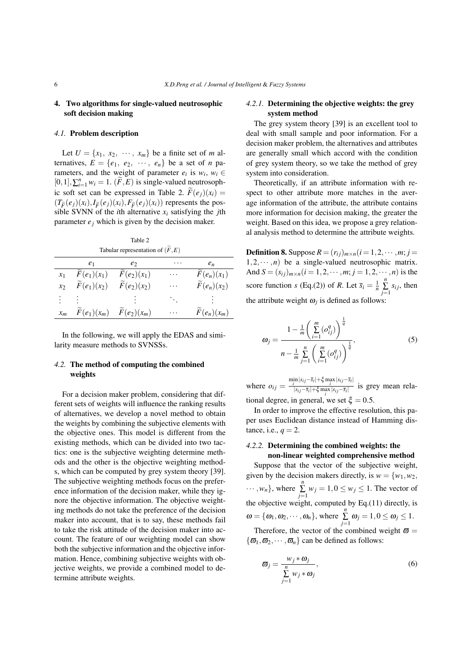#### 4. Two algorithms for single-valued neutrosophic soft decision making

#### *4.1.* Problem description

Let  $U = \{x_1, x_2, \cdots, x_m\}$  be a finite set of *m* alternatives,  $E = \{e_1, e_2, \dots, e_n\}$  be a set of *n* parameters, and the weight of parameter  $e_i$  is  $w_i$ ,  $w_i \in$  $[0, 1], \sum_{i=1}^{n} w_i = 1. (\widetilde{F}, E)$  is single-valued neutrosophic soft set can be expressed in Table 2.  $\widetilde{F}(e_i)(x_i) =$  $(T_{\widetilde{F}}(e_j)(x_i), I_{\widetilde{F}}(e_j)(x_i), F_{\widetilde{F}}(e_j)(x_i))$  represents the pos-<br>sible SVNN of the *i*th elternative *x*, satisfying the *i*th sible SVNN of the *i*th alternative  $x_i$  satisfying the *j*th parameter  $e_i$  which is given by the decision maker.

Table 2 Tabular representation of  $(\widetilde{F}, E)$ 

|               | e <sub>1</sub>            | e <sub>2</sub>            | .        | $e_n$                     |
|---------------|---------------------------|---------------------------|----------|---------------------------|
| $\chi_1$      | $F(e_1)(x_1)$             | $F(e_2)(x_1)$             | $\cdots$ | $F(e_n)(x_1)$             |
| $\mathcal{X}$ | $\widetilde{F}(e_1)(x_2)$ | $\widetilde{F}(e_2)(x_2)$ | .        | $\widetilde{F}(e_n)(x_2)$ |
| :             |                           |                           | $\ddots$ |                           |
| $x_m$         | $F(e_1)(x_m)$             | $F(e_2)(x_m)$             | .        | $F(e_n)(x_m)$             |
|               |                           |                           |          |                           |

In the following, we will apply the EDAS and similarity measure methods to SVNSSs.

## *4.2.* The method of computing the combined weights

For a decision maker problem, considering that different sets of weights will influence the ranking results of alternatives, we develop a novel method to obtain the weights by combining the subjective elements with the objective ones. This model is different from the existing methods, which can be divided into two tactics: one is the subjective weighting determine methods and the other is the objective weighting methods, which can be computed by grey system theory [39]. The subjective weighting methods focus on the preference information of the decision maker, while they ignore the objective information. The objective weighting methods do not take the preference of the decision maker into account, that is to say, these methods fail to take the risk attitude of the decision maker into account. The feature of our weighting model can show both the subjective information and the objective information. Hence, combining subjective weights with objective weights, we provide a combined model to determine attribute weights.

#### *4.2.1.* Determining the objective weights: the grey system method

The grey system theory [39] is an excellent tool to deal with small sample and poor information. For a decision maker problem, the alternatives and attributes are generally small which accord with the condition of grey system theory, so we take the method of grey system into consideration.

Theoretically, if an attribute information with respect to other attribute more matches in the average information of the attribute, the attribute contains more information for decision making, the greater the weight. Based on this idea, we propose a grey relational analysis method to determine the attribute weights.

Definition 8. Suppose  $R = (r_{ij})_{m \times n}$   $(i = 1, 2, \cdots, m; j =$  $1, 2, \cdots, n$  be a single-valued neutrosophic matrix. And  $S = (s_{ij})_{m \times n} (i = 1, 2, \dots, m; j = 1, 2, \dots, n)$  is the score function *s* (Eq.(2)) of *R*. Let  $\bar{s}_i = \frac{1}{n}$  $\sum_{j=1}^{n} s_{ij}$ , then the attribute weight  $\omega_j$  is defined as follows:

$$
\omega_j = \frac{1 - \frac{1}{m} \left( \sum_{i=1}^m (\sigma_{ij}^q) \right)^{\frac{1}{q}}}{n - \frac{1}{m} \sum_{j=1}^n \left( \sum_{i=1}^m (\sigma_{ij}^q) \right)^{\frac{1}{q}}},\tag{5}
$$

where  $o_{ij} = \frac{\min_{|s_{ij} - \bar{s}_i| + \xi \max_{i} |s_{ij} - \bar{s}_i|}{\frac{|s_{ij} - \bar{s}_i| + \xi \max_{i} |s_{ij} - \bar{s}_i|}{\frac{|s_{ij} - \bar{s}_i| + \xi \max_{i} |s_{ij} - \bar{s}_i|}}$  $\frac{i}{|s_{ij} - \overline{s_i}| + \xi \max_i |s_{ij} - \overline{s_i}|}$  is grey mean relational degree, in general, we set  $\xi = 0.5$ .

In order to improve the effective resolution, this paper uses Euclidean distance instead of Hamming distance, i.e.,  $q = 2$ .

# *4.2.2.* Determining the combined weights: the

non-linear weighted comprehensive method Suppose that the vector of the subjective weight, given by the decision makers directly, is  $w = \{w_1, w_2,$  $\cdots$ ,  $w_n$ }, where  $\sum_{j=1}^n w_j = 1, 0 \le w_j \le 1$ . The vector of the objective weight, computed by Eq.(11) directly, is  $\omega = {\omega_1, \omega_2, \cdots, \omega_n}$ , where  $\sum_{j=1}^n \omega_j = 1, 0 \le \omega_j \le 1$ . Therefore, the vector of the combined weight  $\bar{\omega} =$ 

 $\{\boldsymbol{\varpi}_1, \boldsymbol{\varpi}_2, \cdots, \boldsymbol{\varpi}_n\}$  can be defined as follows:

$$
\varpi_j = \frac{w_j * \omega_j}{\sum\limits_{j=1}^n w_j * \omega_j},\tag{6}
$$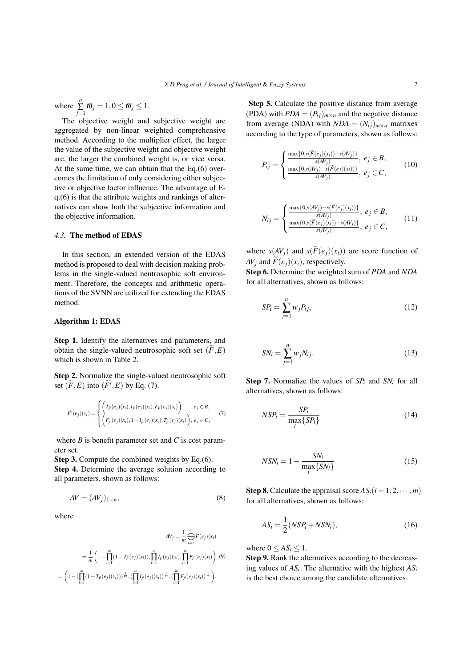where  $\sum_{j=1}^{n} \overline{\omega}_j = 1, 0 \le \overline{\omega}_j \le 1.$ 

The objective weight and subjective weight are aggregated by non-linear weighted comprehensive method. According to the multiplier effect, the larger the value of the subjective weight and objective weight are, the larger the combined weight is, or vice versa. At the same time, we can obtain that the Eq.(6) overcomes the limitation of only considering either subjective or objective factor influence. The advantage of Eq.(6) is that the attribute weights and rankings of alternatives can show both the subjective information and the objective information.

#### *4.3.* The method of EDAS

In this section, an extended version of the EDAS method is proposed to deal with decision making problems in the single-valued neutrosophic soft environment. Therefore, the concepts and arithmetic operations of the SVNN are utilized for extending the EDAS method.

#### Algorithm 1: EDAS

Step 1. Identify the alternatives and parameters, and obtain the single-valued neutrosophic soft set  $(F, E)$ which is shown in Table 2.

Step 2. Normalize the single-valued neutrosophic soft set  $(\widetilde{F}, E)$  into  $(\widetilde{F}', E)$  by Eq. (7).

$$
\widetilde{F}'(e_j)(x_i) = \begin{cases}\n\left(T_{\widetilde{F}}(e_j)(x_i), I_{\widetilde{F}}(e_j)(x_i), F_{\widetilde{F}}(e_j)(x_i)\right), & e_j \in B, \\
\left(F_{\widetilde{F}}(e_j)(x_i), 1 - I_{\widetilde{F}}(e_j)(x_i), T_{\widetilde{F}}(e_j)(x_i)\right), & e_j \in C,\n\end{cases}
$$
\n(7)

where *B* is benefit parameter set and *C* is cost parameter set.

Step 3. Compute the combined weights by Eq.(6). Step 4. Determine the average solution according to all parameters, shown as follows:

$$
AV = (AVj)1×n,
$$
\n(8)

where

$$
AV_j = \frac{1}{m} \bigoplus_{i=1}^{m} \widetilde{F}(e_j)(x_i)
$$
  
= 
$$
\frac{1}{m} \left( 1 - \prod_{i=1}^{m} (1 - T_{\widetilde{F}}(e_j)(x_i)), \prod_{i=1}^{m} I_{\widetilde{F}}(e_j)(x_i), \prod_{i=1}^{m} F_{\widetilde{F}}(e_j)(x_i) \right) (9)
$$
  
= 
$$
\left( 1 - (\prod_{i=1}^{m} (1 - T_{\widetilde{F}}(e_j)(x_i)))^{\frac{1}{m}}, (\prod_{i=1}^{m} I_{\widetilde{F}}(e_j)(x_i))^{\frac{1}{m}}, (\prod_{i=1}^{m} F_{\widetilde{F}}(e_j)(x_i))^{\frac{1}{m}} \right).
$$

Step 5. Calculate the positive distance from average (PDA) with  $PDA = (P_{ij})_{m \times n}$  and the negative distance from average (NDA) with  $NDA = (N_{ij})_{m \times n}$  matrixes according to the type of parameters, shown as follows:

$$
P_{ij} = \begin{cases} \frac{\max\{0, s(\widetilde{F}(e_j)(x_i)) - s(AV_j)\}}{s(AV_j)}, & e_j \in B, \\ \frac{\max\{0, s(AV_j) - s(\widetilde{F}(e_j)(x_i))\}}{s(AV_j)}, & e_j \in C, \end{cases}
$$
(10)

$$
N_{ij} = \begin{cases} \frac{\max\{0, s(AV_j) - s(\widetilde{F}(e_j)(x_i))\}}{s(AV_j)}, & e_j \in B, \\ \frac{\max\{0, s(\widetilde{F}(e_j)(x_i)) - s(AV_j)\}}{s(AV_j)}, & e_j \in C, \end{cases}
$$
(11)

where  $s(AV_i)$  and  $s(\widetilde{F}(e_i)(x_i))$  are score function of *AV*<sup>*j*</sup> and  $\widetilde{F}(e_i)(x_i)$ , respectively.

Step 6. Determine the weighted sum of *PDA* and *NDA* for all alternatives, shown as follows:

$$
SP_i = \sum_{j=1}^{n} w_j P_{ij}, \qquad (12)
$$

$$
SN_i = \sum_{j=1}^{n} w_j N_{ij}.
$$
\n(13)

Step 7. Normalize the values of *SP<sup>i</sup>* and *SN<sup>i</sup>* for all alternatives, shown as follows:

$$
NSP_i = \frac{SP_i}{\max_i \{SP_i\}}\tag{14}
$$

$$
NSN_i = 1 - \frac{SN_i}{\max_i \{SN_i\}}\tag{15}
$$

**Step 8.** Calculate the appraisal score  $AS_i(i = 1, 2, \dots, m)$ for all alternatives, shown as follows:

$$
AS_i = \frac{1}{2}(NSP_i + NSN_i),\tag{16}
$$

where  $0 \le AS_i \le 1$ .

Step 9. Rank the alternatives according to the decreasing values of *AS<sup>i</sup>* . The alternative with the highest *AS<sup>i</sup>* is the best choice among the candidate alternatives.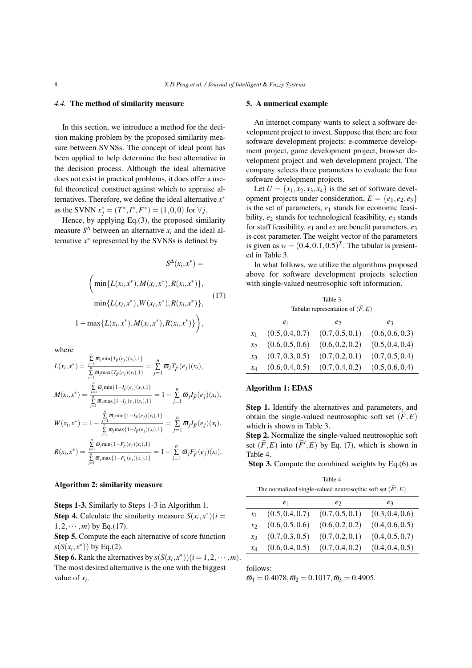#### *4.4.* The method of similarity measure

In this section, we introduce a method for the decision making problem by the proposed similarity measure between SVNSs. The concept of ideal point has been applied to help determine the best alternative in the decision process. Although the ideal alternative does not exist in practical problems, it does offer a useful theoretical construct against which to appraise alternatives. Therefore, we define the ideal alternative *x ∗* as the SVNN  $x_j^* = (T^*, I^*, F^*) = (1, 0, 0)$  for  $\forall j$ .

Hence, by applying Eq.(3), the proposed similarity measure  $S^{\Delta}$  between an alternative  $x_i$  and the ideal alternative  $x^*$  represented by the SVNSs is defined by

$$
S^{\Delta}(x_i, x^*) =
$$
\n
$$
\left(\min\{L(x_i, x^*), M(x_i, x^*), R(x_i, x^*)\},\right.\n\min\{L(x_i, x^*), W(x_i, x^*), R(x_i, x^*)\},\n\left.\n\left.\n\begin{array}{l}\n(17) \\
1 - \max\{L(x_i, x^*), M(x_i, x^*), R(x_i, x^*)\}\n\end{array}\right),\n\right.
$$

where

$$
L(x_i, x^*) = \frac{\sum\limits_{j=1}^{n} \varpi_j \min\{T_{\tilde{F}}(e_j)(x_i), 1\}}{\sum\limits_{j=1}^{n} \varpi_j \max\{T_{\tilde{F}}(e_j)(x_i), 1\}} = \sum\limits_{j=1}^{n} \varpi_j T_{\tilde{F}}(e_j)(x_i),
$$
  

$$
M(x_i, x^*) = \frac{\sum\limits_{j=1}^{n} \varpi_j \min\{1 - I_{\tilde{F}}(e_j)(x_i), 1\}}{\sum\limits_{j=1}^{n} \varpi_j \max\{1 - I_{\tilde{F}}(e_j)(x_i), 1\}} = 1 - \sum\limits_{j=1}^{n} \varpi_j I_{\tilde{F}}(e_j)(x_i),
$$
  

$$
W(x_i, x^*) = 1 - \frac{\sum\limits_{j=1}^{n} \varpi_j \min\{1 - I_{\tilde{F}}(e_j)(x_i), 1\}}{\sum\limits_{j=1}^{n} \varpi_j \max\{1 - I_{\tilde{F}}(e_j)(x_i), 1\}} = \sum\limits_{j=1}^{n} \varpi_j I_{\tilde{F}}(e_j)(x_i),
$$
  

$$
R(x_i, x^*) = \frac{\sum\limits_{j=1}^{n} \varpi_j \min\{1 - F_{\tilde{F}}(e_j)(x_i), 1\}}{\sum\limits_{j=1}^{n} \varpi_j \max\{1 - F_{\tilde{F}}(e_j)(x_i), 1\}} = 1 - \sum\limits_{j=1}^{n} \varpi_j F_{\tilde{F}}(e_j)(x_i).
$$

#### Algorithm 2: similarity measure

Steps 1-3. Similarly to Steps 1-3 in Algorithm 1. **Step 4.** Calculate the similarity measure  $S(x_i, x^*)$  (*i* =  $1, 2, \cdots, m$  by Eq.(17).

Step 5. Compute the each alternative of score function *s*(*S*( $x_i, x^*$ )) by Eq.(2).

Step 6. Rank the alternatives by  $s(S(x_i, x^*))$   $(i = 1, 2, \dots, m)$ . The most desired alternative is the one with the biggest value of *x<sup>i</sup>* .

#### 5. A numerical example

An internet company wants to select a software development project to invest. Suppose that there are four software development projects: e-commerce development project, game development project, browser development project and web development project. The company selects three parameters to evaluate the four software development projects.

Let  $U = \{x_1, x_2, x_3, x_4\}$  is the set of software development projects under consideration,  $E = \{e_1, e_2, e_3\}$ is the set of parameters, *e*<sup>1</sup> stands for economic feasibility,  $e_2$  stands for technological feasibility,  $e_3$  stands for staff feasibility.  $e_1$  and  $e_2$  are benefit parameters,  $e_3$ is cost parameter. The weight vector of the parameters is given as  $w = (0.4, 0.1, 0.5)^T$ . The tabular is presented in Table 3.

In what follows, we utilize the algorithms proposed above for software development projects selection with single-valued neutrosophic soft information.

Table 3 Tabular representation of  $(\widetilde{F}, E)$ 

|                 | e <sub>1</sub>  | e <sub>2</sub>  | $e_3$           |
|-----------------|-----------------|-----------------|-----------------|
| $x_1$           | (0.5, 0.4, 0.7) | (0.7, 0.5, 0.1) | (0.6, 0.6, 0.3) |
| $\mathcal{X}$   | (0.6, 0.5, 0.6) | (0.6, 0.2, 0.2) | (0.5, 0.4, 0.4) |
| $\mathcal{X}$ 3 | (0.7, 0.3, 0.5) | (0.7, 0.2, 0.1) | (0.7, 0.5, 0.4) |
| $x_4$           | (0.6, 0.4, 0.5) | (0.7, 0.4, 0.2) | (0.5, 0.6, 0.4) |

# Algorithm 1: EDAS

Step 1. Identify the alternatives and parameters, and obtain the single-valued neutrosophic soft set  $(F, E)$ which is shown in Table 3.

Step 2. Normalize the single-valued neutrosophic soft set  $(\widetilde{F}, E)$  into  $(\widetilde{F}', E)$  by Eq. (7), which is shown in Table 4.

Step 3. Compute the combined weights by Eq.(6) as

Table 4 The normalized single-valued neutrosophic soft set  $(\widetilde{F}', E)$ 

|                 | e <sub>1</sub>  | e <sub>2</sub>  | eз              |
|-----------------|-----------------|-----------------|-----------------|
| $x_1$           | (0.5, 0.4, 0.7) | (0.7, 0.5, 0.1) | (0.3, 0.4, 0.6) |
| $\mathcal{X}$   | (0.6, 0.5, 0.6) | (0.6, 0.2, 0.2) | (0.4, 0.6, 0.5) |
| $\mathcal{X}$ 3 | (0.7, 0.3, 0.5) | (0.7, 0.2, 0.1) | (0.4, 0.5, 0.7) |
| $x_4$           | (0.6, 0.4, 0.5) | (0.7, 0.4, 0.2) | (0.4, 0.4, 0.5) |

follows:

 $\overline{\omega}_1 = 0.4078, \overline{\omega}_2 = 0.1017, \overline{\omega}_3 = 0.4905.$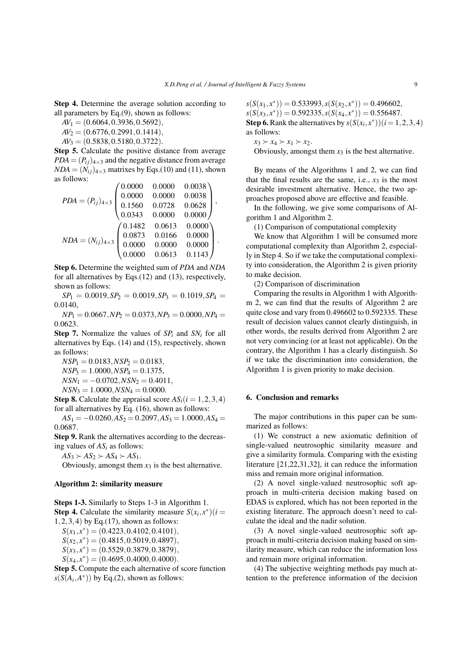Step 4. Determine the average solution according to all parameters by Eq.(9), shown as follows:

*AV*<sup>1</sup> = (0*.*6064*,*0*.*3936*,*0*.*5692)*,*

*AV*<sup>2</sup> = (0*.*6776*,*0*.*2991*,*0*.*1414)*,*

*AV*<sup>3</sup> = (0*.*5838*,*0*.*5180*,*0*.*3722).

Step 5. Calculate the positive distance from average  $PDA = (P_{ij})_{4 \times 3}$  and the negative distance from average  $NDA = (N_{ii})_{4\times3}$  matrixes by Eqs.(10) and (11), shown as follows:

$$
PDA = (P_{ij})_{4\times3} \begin{pmatrix} 0.0000 & 0.0000 & 0.0038 \\ 0.0000 & 0.0000 & 0.0038 \\ 0.1560 & 0.0728 & 0.0628 \\ 0.0343 & 0.0000 & 0.0000 \end{pmatrix},
$$

$$
NDA = (N_{ij})_{4\times3} \begin{pmatrix} 0.1482 & 0.0613 & 0.0000 \\ 0.0873 & 0.0166 & 0.0000 \\ 0.0000 & 0.0000 & 0.0000 \\ 0.0000 & 0.0613 & 0.1143 \end{pmatrix}.
$$

Step 6. Determine the weighted sum of *PDA* and *NDA* for all alternatives by Eqs.(12) and (13), respectively, shown as follows:

 $SP_1 = 0.0019, SP_2 = 0.0019, SP_3 = 0.1019, SP_4 =$ 0*.*0140,

 $NP_1 = 0.0667, NP_2 = 0.0373, NP_3 = 0.0000, NP_4 =$ 0*.*0623.

Step 7. Normalize the values of *SP<sup>i</sup>* and *SN<sup>i</sup>* for all alternatives by Eqs. (14) and (15), respectively, shown as follows:

 $NSP_1 = 0.0183, NSP_2 = 0.0183,$  $NSP_3 = 1.0000, NSP_4 = 0.1375,$ *NSN*<sup>1</sup> = *−*0*.*0702*,NSN*<sup>2</sup> = 0*.*4011*,*  $NSN_3 = 1.0000, NSN_4 = 0.0000.$ 

**Step 8.** Calculate the appraisal score  $AS_i(i = 1, 2, 3, 4)$ for all alternatives by Eq. (16), shown as follows:

 $AS_1 = -0.0260, AS_2 = 0.2097, AS_3 = 1.0000, AS_4 =$ 0*.*0687*.*

Step 9. Rank the alternatives according to the decreasing values of *AS<sup>i</sup>* as follows:

 $AS_3 \succ AS_2 \succ AS_4 \succ AS_1$ .

Obviously, amongst them  $x_3$  is the best alternative.

#### Algorithm 2: similarity measure

Steps 1-3. Similarly to Steps 1-3 in Algorithm 1. **Step 4.** Calculate the similarity measure  $S(x_i, x^*)$  (*i* = 1*,*2*,*3*,*4) by Eq.(17), shown as follows:

*S*(*x*1*, x ∗* ) = (0*.*4223*,*0*.*4102*,*0*.*4101)*,*

$$
S(x_2, x^*) = (0.4815, 0.5019, 0.4897),
$$

*S*(*x*3*, x ∗* ) = (0*.*5529*,*0*.*3879*,*0*.*3879)*,*

*S*(*x*4*, x ∗* ) = (0*.*4695*,*0*.*4000*,*0*.*4000)*.*

Step 5. Compute the each alternative of score function  $s(S(A_i, A^*))$  by Eq.(2), shown as follows:

 $s(S(x_1, x^*)) = 0.533993, s(S(x_2, x^*)) = 0.496602,$  $s(S(x_3, x^*)) = 0.592335, s(S(x_4, x^*)) = 0.556487.$ **Step 6.** Rank the alternatives by  $s(S(x_i, x^*))$  ( $i = 1, 2, 3, 4$ ) as follows:

 $x_3 \succ x_4 \succ x_1 \succ x_2$ .

Obviously, amongst them  $x_3$  is the best alternative.

By means of the Algorithms 1 and 2, we can find that the final results are the same, i.e.,  $x_3$  is the most desirable investment alternative. Hence, the two approaches proposed above are effective and feasible.

In the following, we give some comparisons of Algorithm 1 and Algorithm 2.

(1) Comparison of computational complexity

We know that Algorithm 1 will be consumed more computational complexity than Algorithm 2, especially in Step 4. So if we take the computational complexity into consideration, the Algorithm 2 is given priority to make decision.

(2) Comparison of discrimination

Comparing the results in Algorithm 1 with Algorithm 2, we can find that the results of Algorithm 2 are quite close and vary from 0.496602 to 0.592335. These result of decision values cannot clearly distinguish, in other words, the results derived from Algorithm 2 are not very convincing (or at least not applicable). On the contrary, the Algorithm 1 has a clearly distinguish. So if we take the discrimination into consideration, the Algorithm 1 is given priority to make decision.

#### 6. Conclusion and remarks

The major contributions in this paper can be summarized as follows:

(1) We construct a new axiomatic definition of single-valued neutrosophic similarity measure and give a similarity formula. Comparing with the existing literature [21,22,31,32], it can reduce the information miss and remain more original information.

(2) A novel single-valued neutrosophic soft approach in multi-criteria decision making based on EDAS is explored, which has not been reported in the existing literature. The approach doesn't need to calculate the ideal and the nadir solution.

(3) A novel single-valued neutrosophic soft approach in multi-criteria decision making based on similarity measure, which can reduce the information loss and remain more original information.

(4) The subjective weighting methods pay much attention to the preference information of the decision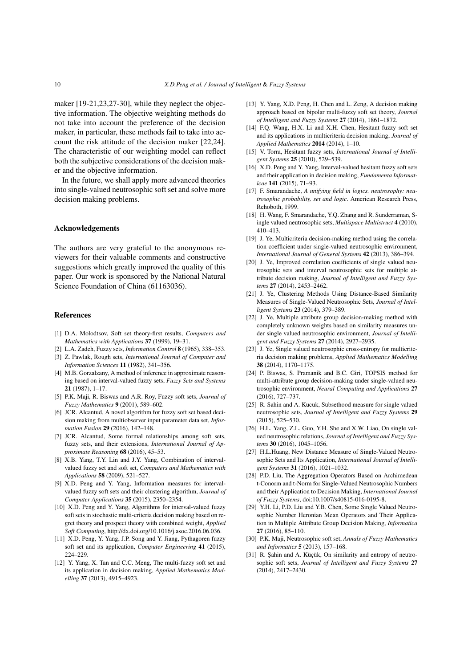maker [19-21,23,27-30], while they neglect the objective information. The objective weighting methods do not take into account the preference of the decision maker, in particular, these methods fail to take into account the risk attitude of the decision maker [22,24]. The characteristic of our weighting model can reflect both the subjective considerations of the decision maker and the objective information.

In the future, we shall apply more advanced theories into single-valued neutrosophic soft set and solve more decision making problems.

#### Acknowledgements

The authors are very grateful to the anonymous reviewers for their valuable comments and constructive suggestions which greatly improved the quality of this paper. Our work is sponsored by the National Natural Science Foundation of China (61163036).

#### References

- [1] D.A. Molodtsov, Soft set theory-first results, *Computers and Mathematics with Applications* 37 (1999), 19–31.
- [2] L.A. Zadeh, Fuzzy sets, *Information Control* 8 (1965), 338–353.
- [3] Z. Pawlak, Rough sets, *International Journal of Computer and Information Sciences* 11 (1982), 341–356.
- [4] M.B. Gorzalzany, A method of inference in approximate reasoning based on interval-valued fuzzy sets, *Fuzzy Sets and Systems* 21 (1987), 1–17.
- [5] P.K. Maji, R. Biswas and A.R. Roy, Fuzzy soft sets, *Journal of Fuzzy Mathematics* 9 (2001), 589–602.
- [6] JCR. Alcantud, A novel algorithm for fuzzy soft set based decision making from multiobserver input parameter data set, *Information Fusion* 29 (2016), 142–148.
- [7] JCR. Alcantud, Some formal relationships among soft sets, fuzzy sets, and their extensions, *International Journal of Approximate Reasoning* 68 (2016), 45–53.
- [8] X.B. Yang, T.Y. Lin and J.Y. Yang, Combination of intervalvalued fuzzy set and soft set, *Computers and Mathematics with Applications* 58 (2009), 521–527.
- [9] X.D. Peng and Y. Yang, Information measures for intervalvalued fuzzy soft sets and their clustering algorithm, *Journal of Computer Applications* 35 (2015), 2350–2354.
- [10] X.D. Peng and Y. Yang, Algorithms for interval-valued fuzzy soft sets in stochastic multi-criteria decision making based on regret theory and prospect theory with combined weight, *Applied Soft Computing*, http://dx.doi.org/10.1016/j.asoc.2016.06.036.
- [11] X.D. Peng, Y. Yang, J.P. Song and Y. Jiang, Pythagoren fuzzy soft set and its application, *Computer Engineering* 41 (2015), 224–229.
- [12] Y. Yang, X. Tan and C.C. Meng, The multi-fuzzy soft set and its application in decision making, *Applied Mathematics Modelling* 37 (2013), 4915–4923.
- [13] Y. Yang, X.D. Peng, H. Chen and L. Zeng, A decision making approach based on bipolar multi-fuzzy soft set theory, *Journal of Intelligent and Fuzzy Systems* 27 (2014), 1861–1872.
- [14] F.Q. Wang, H.X. Li and X.H. Chen, Hesitant fuzzy soft set and its applications in multicriteria decision making, *Journal of Applied Mathematics* 2014 (2014), 1–10.
- [15] V. Torra, Hesitant fuzzy sets, *International Journal of Intelligent Systems* 25 (2010), 529–539.
- [16] X.D. Peng and Y. Yang, Interval-valued hesitant fuzzy soft sets and their application in decision making, *Fundamenta Informaticae* 141 (2015), 71–93.
- [17] F. Smarandache, *A unifying field in logics. neutrosophy: neutrosophic probability, set and logic*. American Research Press, Rehoboth, 1999.
- [18] H. Wang, F. Smarandache, Y.Q. Zhang and R. Sunderraman, Single valued neutrosophic sets, *Multispace Multistruct* 4 (2010), 410–413.
- [19] J. Ye, Multicriteria decision-making method using the correlation coefficient under single-valued neutrosophic environment, *International Journal of General Systems* 42 (2013), 386–394.
- [20] J. Ye, Improved correlation coefficients of single valued neutrosophic sets and interval neutrosophic sets for multiple attribute decision making, *Journal of Intelligent and Fuzzy Systems* 27 (2014), 2453–2462.
- [21] J. Ye, Clustering Methods Using Distance-Based Similarity Measures of Single-Valued Neutrosophic Sets, *Journal of Intelligent Systems* 23 (2014), 379–389.
- [22] J. Ye, Multiple attribute group decision-making method with completely unknown weights based on similarity measures under single valued neutrosophic environment, *Journal of Intelligent and Fuzzy Systems* 27 (2014), 2927–2935.
- [23] J. Ye, Single valued neutrosophic cross-entropy for multicriteria decision making problems, *Applied Mathematics Modelling* 38 (2014), 1170–1175.
- [24] P. Biswas, S. Pramanik and B.C. Giri, TOPSIS method for multi-attribute group decision-making under single-valued neutrosophic environment, *Neural Computing and Applications* 27 (2016), 727–737.
- [25] R. Sahin and A. Kucuk, Subsethood measure for single valued neutrosophic sets, *Journal of Intelligent and Fuzzy Systems* 29 (2015), 525–530.
- [26] H.L. Yang, Z.L. Guo, Y.H. She and X.W. Liao, On single valued neutrosophic relations, *Journal of Intelligent and Fuzzy Systems* 30 (2016), 1045–1056.
- [27] H.L.Huang, New Distance Measure of Single-Valued Neutrosophic Sets and Its Application, *International Journal of Intelligent Systems* 31 (2016), 1021–1032.
- [28] P.D. Liu, The Aggregation Operators Based on Archimedean t-Conorm and t-Norm for Single-Valued Neutrosophic Numbers and their Application to Decision Making, *International Journal of Fuzzy Systems*, doi:10.1007/s40815-016-0195-8.
- [29] Y.H. Li, P.D. Liu and Y.B. Chen, Some Single Valued Neutrosophic Number Heronian Mean Operators and Their Application in Multiple Attribute Group Decision Making, *Informatica* 27 (2016), 85–110.
- [30] P.K. Maji, Neutrosophic soft set, *Annals of Fuzzy Mathematics and Informatics* 5 (2013), 157–168.
- [31] R. Sahin and A. Küçük, On similarity and entropy of neutrosophic soft sets, *Journal of Intelligent and Fuzzy Systems* 27 (2014), 2417–2430.